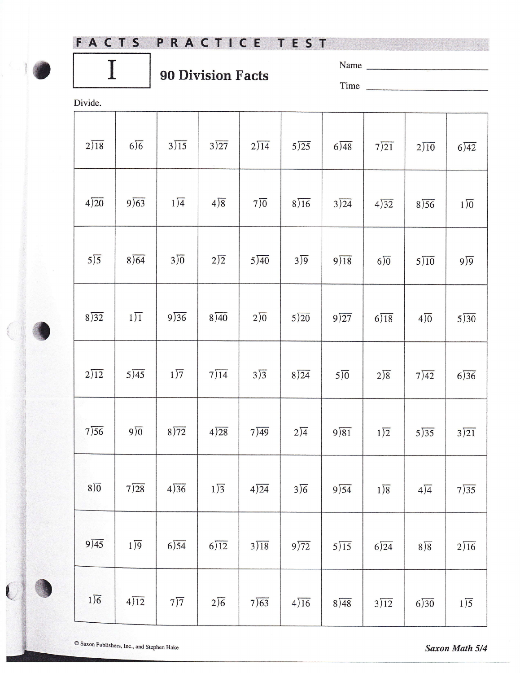## FACTS PRACTICE TEST

## **90 Division Facts**

| Name |  |
|------|--|
| Time |  |

Divide.

I

| $2\sqrt{18}$      | $6\sqrt{6}$               | $3\overline{\smash{)}15}$ | $3\overline{)27}$        | 2)14              | $5\overline{\smash{)}25}$ | 6)48                                                                                                                                                                                                                                                                                                                                                                                                                                                | 7)21              | $2\sqrt{10}$      | 6)42              |
|-------------------|---------------------------|---------------------------|--------------------------|-------------------|---------------------------|-----------------------------------------------------------------------------------------------------------------------------------------------------------------------------------------------------------------------------------------------------------------------------------------------------------------------------------------------------------------------------------------------------------------------------------------------------|-------------------|-------------------|-------------------|
| $4\overline{)20}$ | 9)63                      | $1\overline{)4}$          | $4\sqrt{8}$              | $7\overline{)0}$  | $8\sqrt{16}$              | 3)24                                                                                                                                                                                                                                                                                                                                                                                                                                                | 4)32              | $8\sqrt{56}$      | $1\sqrt{0}$       |
| $5\sqrt{5}$       | $8\sqrt{64}$              | $3\overline{)0}$          | $2\sqrt{2}$              | $5\overline{)40}$ | $3\overline{)9}$          | 9)18                                                                                                                                                                                                                                                                                                                                                                                                                                                | $6\sqrt{0}$       | $5\overline{)10}$ | $9\sqrt{9}$       |
| $8\sqrt{32}$      | $1\overline{)1}$          | 9)36                      | 8)40                     | $2\sqrt{0}$       | $5\overline{)20}$         | 9)27                                                                                                                                                                                                                                                                                                                                                                                                                                                | $6\sqrt{18}$      | $4\sqrt{0}$       | $5\overline{)30}$ |
| $2\sqrt{12}$      | $5\overline{\smash{)}45}$ | $1\overline{)7}$          | 7)14                     | $3\sqrt{3}$       | $8\sqrt{24}$              | $5\overline{)0}$                                                                                                                                                                                                                                                                                                                                                                                                                                    | $2\sqrt{8}$       | $7\overline{)42}$ | 6)36              |
| 7)56              | $9\sqrt{0}$               | 8)72                      | 4)28                     | 7)49              | $2\sqrt{4}$               | $9\sqrt{81}$                                                                                                                                                                                                                                                                                                                                                                                                                                        | $1\sqrt{2}$       | $5\sqrt{35}$      | $3\overline{)21}$ |
| $8\sqrt{0}$       | 7)28                      | $4\sqrt{36}$              | $1\overline{\smash{)}3}$ | 4)24              | $3\sqrt{6}$               | 9)54                                                                                                                                                                                                                                                                                                                                                                                                                                                | $1\sqrt{8}$       | $4\sqrt{4}$       | $7\overline{)35}$ |
| 9)45              | $1\sqrt{9}$               | 6)54                      | $6\sqrt{12}$             | $3\overline{)18}$ | 9)72                      | $5\overline{\smash{\big)}\hspace{-0.08em}\big)}\hspace{-0.08em}\overline{\hspace{-0.08em}}\hspace{-0.08em}\overline{\hspace{-0.08em}}\hspace{-0.08em}\overline{\hspace{-0.08em}}\hspace{-0.08em}\overline{\hspace{-0.08em}}\hspace{-0.08em}\overline{\hspace{-0.08em}}\hspace{-0.08em}\overline{\hspace{-0.08em}}\hspace{-0.08em}\overline{\hspace{-0.08em}}\hspace{-0.08em}\overline{\hspace{-0.08em}}\hspace{-0.08em}\overline{\hspace{-0.08em}}$ | 6)24              | $8\sqrt{8}$       | $2\sqrt{16}$      |
| $1\sqrt{6}$       | 4)12                      | $7\overline{)7}$          | $2\sqrt{6}$              | 7)63              | 4)16                      | 8)48                                                                                                                                                                                                                                                                                                                                                                                                                                                | $3\overline{)12}$ | 6)30              | $1\overline{)5}$  |

 $\overline{\mathbb{C}}$ 

Saxon Math 5/4